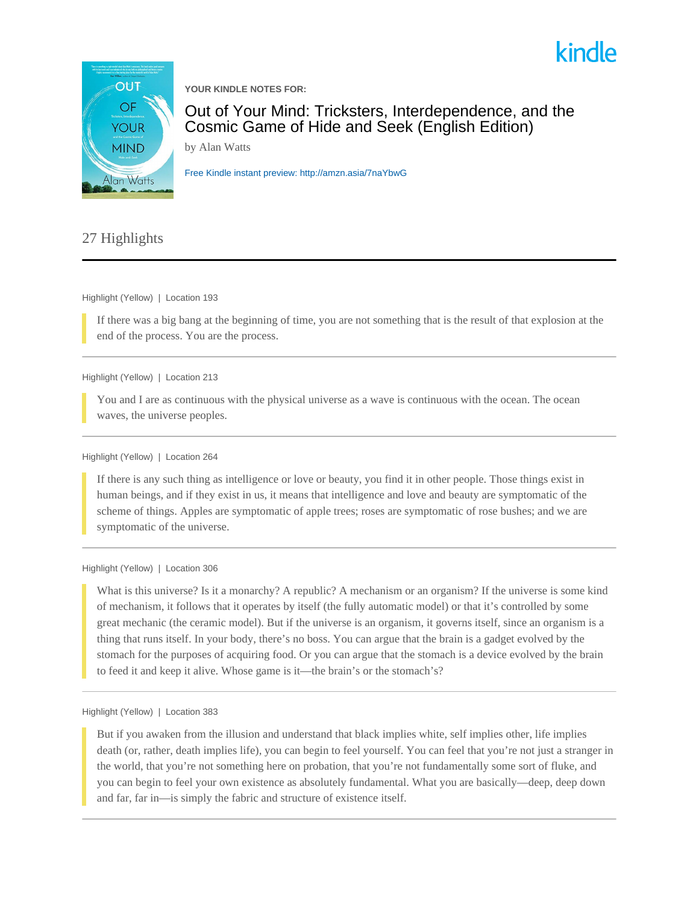



**YOUR KINDLE NOTES FOR:**

Out of Your Mind: Tricksters, Interdependence, and the Cosmic Game of Hide and Seek (English Edition)

by Alan Watts

[Free Kindle instant preview: http://amzn.asia/7naYbwG](http://amzn.asia/7naYbwG)

## 27 Highlights

Highlight (Yellow) | Location 193

If there was a big bang at the beginning of time, you are not something that is the result of that explosion at the end of the process. You are the process.

### Highlight (Yellow) | Location 213

You and I are as continuous with the physical universe as a wave is continuous with the ocean. The ocean waves, the universe peoples.

## Highlight (Yellow) | Location 264

If there is any such thing as intelligence or love or beauty, you find it in other people. Those things exist in human beings, and if they exist in us, it means that intelligence and love and beauty are symptomatic of the scheme of things. Apples are symptomatic of apple trees; roses are symptomatic of rose bushes; and we are symptomatic of the universe.

Highlight (Yellow) | Location 306

What is this universe? Is it a monarchy? A republic? A mechanism or an organism? If the universe is some kind of mechanism, it follows that it operates by itself (the fully automatic model) or that it's controlled by some great mechanic (the ceramic model). But if the universe is an organism, it governs itself, since an organism is a thing that runs itself. In your body, there's no boss. You can argue that the brain is a gadget evolved by the stomach for the purposes of acquiring food. Or you can argue that the stomach is a device evolved by the brain to feed it and keep it alive. Whose game is it—the brain's or the stomach's?

Highlight (Yellow) | Location 383

But if you awaken from the illusion and understand that black implies white, self implies other, life implies death (or, rather, death implies life), you can begin to feel yourself. You can feel that you're not just a stranger in the world, that you're not something here on probation, that you're not fundamentally some sort of fluke, and you can begin to feel your own existence as absolutely fundamental. What you are basically—deep, deep down and far, far in—is simply the fabric and structure of existence itself.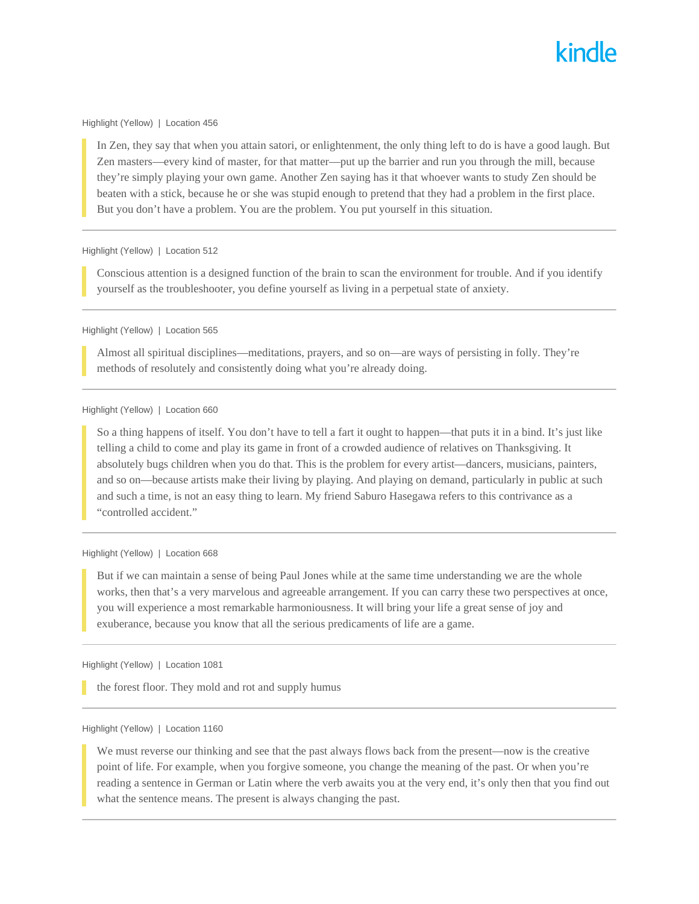#### Highlight (Yellow) | Location 456

In Zen, they say that when you attain satori, or enlightenment, the only thing left to do is have a good laugh. But Zen masters—every kind of master, for that matter—put up the barrier and run you through the mill, because they're simply playing your own game. Another Zen saying has it that whoever wants to study Zen should be beaten with a stick, because he or she was stupid enough to pretend that they had a problem in the first place. But you don't have a problem. You are the problem. You put yourself in this situation.

## Highlight (Yellow) | Location 512

Conscious attention is a designed function of the brain to scan the environment for trouble. And if you identify yourself as the troubleshooter, you define yourself as living in a perpetual state of anxiety.

#### Highlight (Yellow) | Location 565

Almost all spiritual disciplines—meditations, prayers, and so on—are ways of persisting in folly. They're methods of resolutely and consistently doing what you're already doing.

## Highlight (Yellow) | Location 660

So a thing happens of itself. You don't have to tell a fart it ought to happen—that puts it in a bind. It's just like telling a child to come and play its game in front of a crowded audience of relatives on Thanksgiving. It absolutely bugs children when you do that. This is the problem for every artist—dancers, musicians, painters, and so on—because artists make their living by playing. And playing on demand, particularly in public at such and such a time, is not an easy thing to learn. My friend Saburo Hasegawa refers to this contrivance as a "controlled accident."

#### Highlight (Yellow) | Location 668

But if we can maintain a sense of being Paul Jones while at the same time understanding we are the whole works, then that's a very marvelous and agreeable arrangement. If you can carry these two perspectives at once, you will experience a most remarkable harmoniousness. It will bring your life a great sense of joy and exuberance, because you know that all the serious predicaments of life are a game.

#### Highlight (Yellow) | Location 1081

the forest floor. They mold and rot and supply humus

#### Highlight (Yellow) | Location 1160

We must reverse our thinking and see that the past always flows back from the present—now is the creative point of life. For example, when you forgive someone, you change the meaning of the past. Or when you're reading a sentence in German or Latin where the verb awaits you at the very end, it's only then that you find out what the sentence means. The present is always changing the past.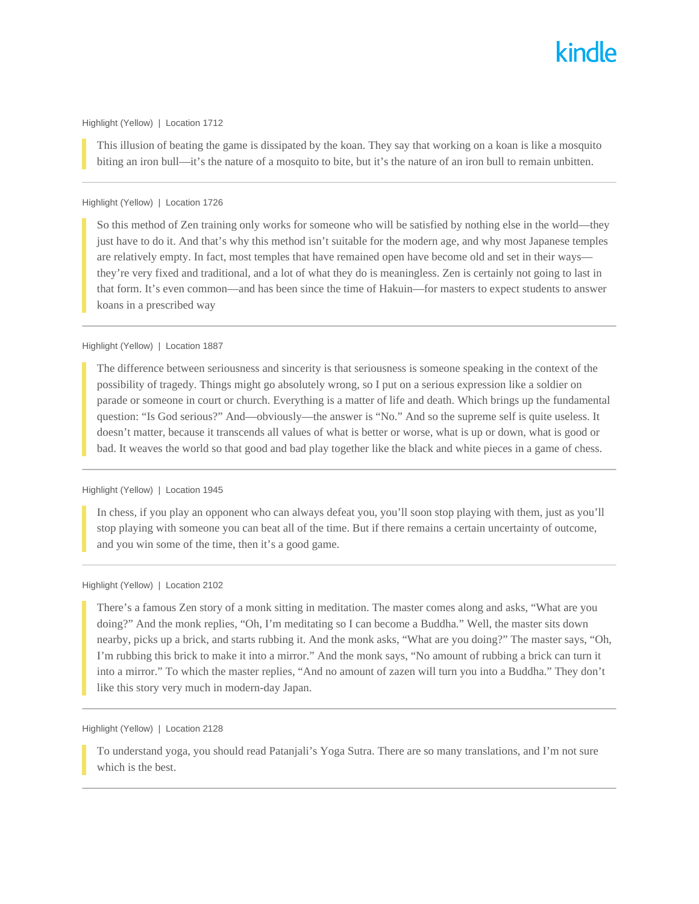#### Highlight (Yellow) | Location 1712

This illusion of beating the game is dissipated by the koan. They say that working on a koan is like a mosquito biting an iron bull—it's the nature of a mosquito to bite, but it's the nature of an iron bull to remain unbitten.

#### Highlight (Yellow) | Location 1726

So this method of Zen training only works for someone who will be satisfied by nothing else in the world—they just have to do it. And that's why this method isn't suitable for the modern age, and why most Japanese temples are relatively empty. In fact, most temples that have remained open have become old and set in their ways they're very fixed and traditional, and a lot of what they do is meaningless. Zen is certainly not going to last in that form. It's even common—and has been since the time of Hakuin—for masters to expect students to answer koans in a prescribed way

#### Highlight (Yellow) | Location 1887

The difference between seriousness and sincerity is that seriousness is someone speaking in the context of the possibility of tragedy. Things might go absolutely wrong, so I put on a serious expression like a soldier on parade or someone in court or church. Everything is a matter of life and death. Which brings up the fundamental question: "Is God serious?" And—obviously—the answer is "No." And so the supreme self is quite useless. It doesn't matter, because it transcends all values of what is better or worse, what is up or down, what is good or bad. It weaves the world so that good and bad play together like the black and white pieces in a game of chess.

#### Highlight (Yellow) | Location 1945

In chess, if you play an opponent who can always defeat you, you'll soon stop playing with them, just as you'll stop playing with someone you can beat all of the time. But if there remains a certain uncertainty of outcome, and you win some of the time, then it's a good game.

#### Highlight (Yellow) | Location 2102

There's a famous Zen story of a monk sitting in meditation. The master comes along and asks, "What are you doing?" And the monk replies, "Oh, I'm meditating so I can become a Buddha." Well, the master sits down nearby, picks up a brick, and starts rubbing it. And the monk asks, "What are you doing?" The master says, "Oh, I'm rubbing this brick to make it into a mirror." And the monk says, "No amount of rubbing a brick can turn it into a mirror." To which the master replies, "And no amount of zazen will turn you into a Buddha." They don't like this story very much in modern-day Japan.

Highlight (Yellow) | Location 2128

To understand yoga, you should read Patanjali's Yoga Sutra. There are so many translations, and I'm not sure which is the best.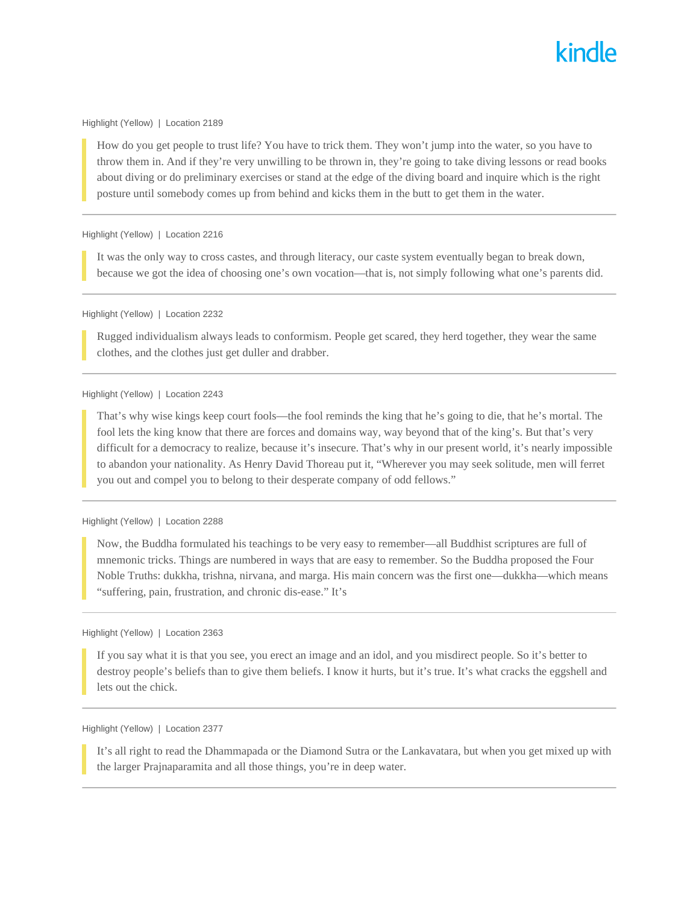#### Highlight (Yellow) | Location 2189

How do you get people to trust life? You have to trick them. They won't jump into the water, so you have to throw them in. And if they're very unwilling to be thrown in, they're going to take diving lessons or read books about diving or do preliminary exercises or stand at the edge of the diving board and inquire which is the right posture until somebody comes up from behind and kicks them in the butt to get them in the water.

### Highlight (Yellow) | Location 2216

It was the only way to cross castes, and through literacy, our caste system eventually began to break down, because we got the idea of choosing one's own vocation—that is, not simply following what one's parents did.

## Highlight (Yellow) | Location 2232

Rugged individualism always leads to conformism. People get scared, they herd together, they wear the same clothes, and the clothes just get duller and drabber.

### Highlight (Yellow) | Location 2243

That's why wise kings keep court fools—the fool reminds the king that he's going to die, that he's mortal. The fool lets the king know that there are forces and domains way, way beyond that of the king's. But that's very difficult for a democracy to realize, because it's insecure. That's why in our present world, it's nearly impossible to abandon your nationality. As Henry David Thoreau put it, "Wherever you may seek solitude, men will ferret you out and compel you to belong to their desperate company of odd fellows."

## Highlight (Yellow) | Location 2288

Now, the Buddha formulated his teachings to be very easy to remember—all Buddhist scriptures are full of mnemonic tricks. Things are numbered in ways that are easy to remember. So the Buddha proposed the Four Noble Truths: dukkha, trishna, nirvana, and marga. His main concern was the first one—dukkha—which means "suffering, pain, frustration, and chronic dis-ease." It's

## Highlight (Yellow) | Location 2363

If you say what it is that you see, you erect an image and an idol, and you misdirect people. So it's better to destroy people's beliefs than to give them beliefs. I know it hurts, but it's true. It's what cracks the eggshell and lets out the chick.

#### Highlight (Yellow) | Location 2377

It's all right to read the Dhammapada or the Diamond Sutra or the Lankavatara, but when you get mixed up with the larger Prajnaparamita and all those things, you're in deep water.